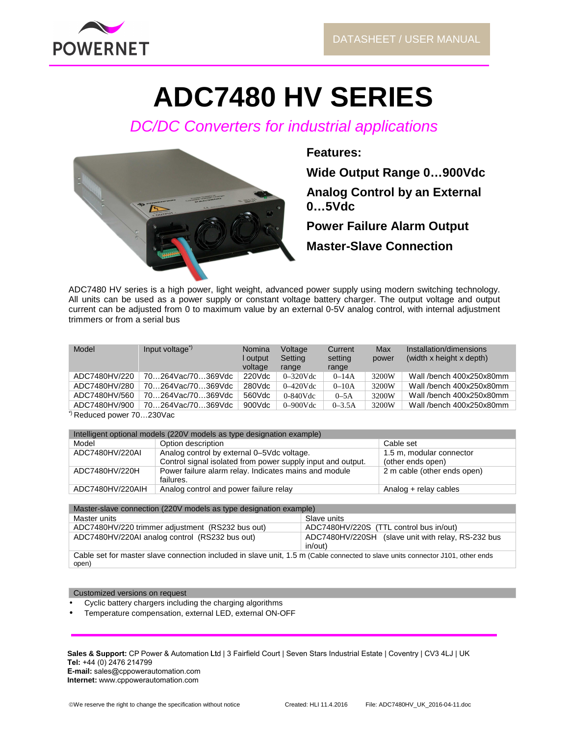

# **ADC7480 HV SERIES**

DC/DC Converters for industrial applications



**Features:** 

**Wide Output Range 0…900Vdc** 

**Analog Control by an External 0…5Vdc** 

**Power Failure Alarm Output Master-Slave Connection**

ADC7480 HV series is a high power, light weight, advanced power supply using modern switching technology. All units can be used as a power supply or constant voltage battery charger. The output voltage and output current can be adjusted from 0 to maximum value by an external 0-5V analog control, with internal adjustment trimmers or from a serial bus

| Model                                   | Input voltage <sup>"</sup> | Nomina<br>output<br>voltage | Voltage<br>Setting<br>range | Current<br>setting<br>range | Max<br>power | Installation/dimensions<br>(width x height x depth) |
|-----------------------------------------|----------------------------|-----------------------------|-----------------------------|-----------------------------|--------------|-----------------------------------------------------|
| ADC7480HV/220                           | 70264Vac/70369Vdc          | 220Vdc                      | $0 - 320$ Vdc               | $0 - 14A$                   | 3200W        | Wall /bench 400x250x80mm                            |
| ADC7480HV/280                           | 70264Vac/70369Vdc          | 280Vdc                      | $0-420$ Vdc                 | $0 - 10A$                   | 3200W        | Wall /bench 400x250x80mm                            |
| ADC7480HV/560                           | 70264Vac/70369Vdc          | 560Vdc                      | $0-840$ Vdc                 | $0-5A$                      | 3200W        | Wall /bench 400x250x80mm                            |
| ADC7480HV/900                           | 70264Vac/70369Vdc          | 900Vdc                      | $0 - 900$ Vdc               | $0 - 3.5A$                  | 3200W        | Wall /bench 400x250x80mm                            |
| Doduced nower 70<br>2201/a <sub>0</sub> |                            |                             |                             |                             |              |                                                     |

\*) Reduced power 70…230Vac

| Intelligent optional models (220V models as type designation example) |                                                             |                             |  |  |  |
|-----------------------------------------------------------------------|-------------------------------------------------------------|-----------------------------|--|--|--|
| Model                                                                 | Option description                                          | Cable set                   |  |  |  |
| ADC7480HV/220AI                                                       | Analog control by external 0-5Vdc voltage.                  | 1.5 m, modular connector    |  |  |  |
|                                                                       | Control signal isolated from power supply input and output. | (other ends open)           |  |  |  |
| ADC7480HV/220H                                                        | Power failure alarm relay. Indicates mains and module       | 2 m cable (other ends open) |  |  |  |
|                                                                       | failures.                                                   |                             |  |  |  |
| ADC7480HV/220AIH                                                      | Analog control and power failure relay                      | Analog + relay cables       |  |  |  |

| Master-slave connection (220V models as type designation example)                                                              |                                                               |  |  |  |  |
|--------------------------------------------------------------------------------------------------------------------------------|---------------------------------------------------------------|--|--|--|--|
| Master units                                                                                                                   | Slave units                                                   |  |  |  |  |
| ADC7480HV/220 trimmer adjustment (RS232 bus out)                                                                               | ADC7480HV/220S (TTL control bus in/out)                       |  |  |  |  |
| ADC7480HV/220AI analog control (RS232 bus out)                                                                                 | ADC7480HV/220SH (slave unit with relay, RS-232 bus<br>in/out) |  |  |  |  |
| Cable set for master slave connection included in slave unit, 1.5 m (Cable connected to slave units connector J101, other ends |                                                               |  |  |  |  |

Cable set for master slave connection included in slave unit, 1.5 m (Cable connected to slave units connector J101, other ends open)

Customized versions on request

- Cyclic battery chargers including the charging algorithms
- Temperature compensation, external LED, external ON-OFF

Sales & Support: CP Power & Automation Ltd | 3 Fairfield Court | Seven Stars Industrial Estate | Coventry | CV3 4LJ | UK **Tel:** +44 (0) 2476 214799 **E-mail:** sales@cppowerautomation.com **Internet:** www.cppowerautomation.com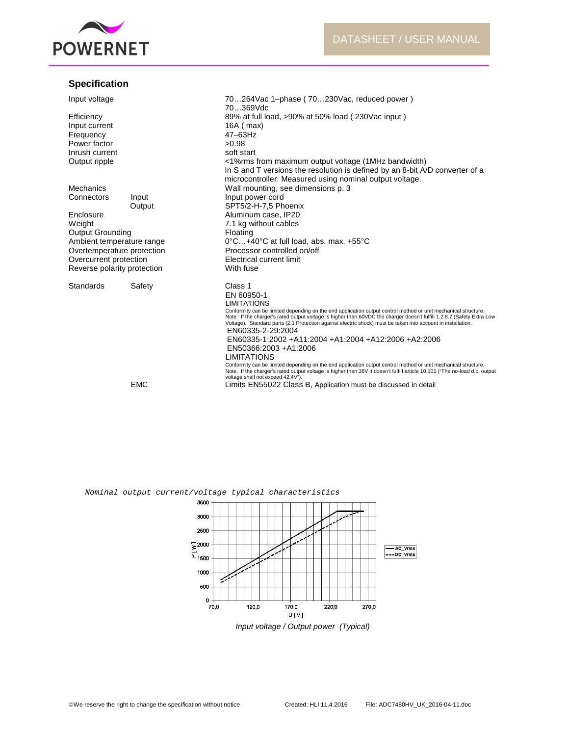

# **Specification**

| Input voltage                                        |            | 70264 Vac 1-phase (70230 Vac, reduced power)<br>70369Vdc                                                                                                                                                                                                                                                                                                                      |
|------------------------------------------------------|------------|-------------------------------------------------------------------------------------------------------------------------------------------------------------------------------------------------------------------------------------------------------------------------------------------------------------------------------------------------------------------------------|
| Efficiency                                           |            | 89% at full load, >90% at 50% load (230Vac input)                                                                                                                                                                                                                                                                                                                             |
| Input current                                        |            | 16A ( max)                                                                                                                                                                                                                                                                                                                                                                    |
| Frequency                                            |            | 47-63Hz                                                                                                                                                                                                                                                                                                                                                                       |
| Power factor                                         |            | >0.98                                                                                                                                                                                                                                                                                                                                                                         |
| Inrush current                                       |            | soft start                                                                                                                                                                                                                                                                                                                                                                    |
| Output ripple                                        |            | <1% ms from maximum output voltage (1MHz bandwidth)                                                                                                                                                                                                                                                                                                                           |
|                                                      |            | In S and T versions the resolution is defined by an 8-bit A/D converter of a                                                                                                                                                                                                                                                                                                  |
|                                                      |            | microcontroller. Measured using nominal output voltage.                                                                                                                                                                                                                                                                                                                       |
| Mechanics                                            |            | Wall mounting, see dimensions p. 3                                                                                                                                                                                                                                                                                                                                            |
| Connectors                                           | Input      | Input power cord                                                                                                                                                                                                                                                                                                                                                              |
|                                                      | Output     | SPT5/2-H-7,5 Phoenix                                                                                                                                                                                                                                                                                                                                                          |
| Enclosure                                            |            | Aluminum case, IP20                                                                                                                                                                                                                                                                                                                                                           |
| Weight                                               |            | 7.1 kg without cables                                                                                                                                                                                                                                                                                                                                                         |
|                                                      |            |                                                                                                                                                                                                                                                                                                                                                                               |
| <b>Output Grounding</b><br>Ambient temperature range |            | Floating<br>0°C+40°C at full load, abs. max. +55°C                                                                                                                                                                                                                                                                                                                            |
|                                                      |            | Processor controlled on/off                                                                                                                                                                                                                                                                                                                                                   |
| Overtemperature protection                           |            | Electrical current limit                                                                                                                                                                                                                                                                                                                                                      |
| Overcurrent protection                               |            |                                                                                                                                                                                                                                                                                                                                                                               |
| Reverse polarity protection                          |            | With fuse                                                                                                                                                                                                                                                                                                                                                                     |
| Standards                                            | Safety     | Class 1                                                                                                                                                                                                                                                                                                                                                                       |
|                                                      |            | EN 60950-1                                                                                                                                                                                                                                                                                                                                                                    |
|                                                      |            | <b>LIMITATIONS</b>                                                                                                                                                                                                                                                                                                                                                            |
|                                                      |            | Conformity can be limited depending on the end application output control method or unit mechanical structure.<br>Note: If the charger's rated output voltage is higher than 60VDC the charger doesn't fulfill 1.2.8.7 (Safety Extra Low<br>Voltage). Standard parts (2.1 Protection against electric shock) must be taken into account in installation.<br>EN60335-2-29:2004 |
|                                                      |            | EN60335-1:2002 +A11:2004 +A1:2004 +A12:2006 +A2:2006                                                                                                                                                                                                                                                                                                                          |
|                                                      |            | EN50366:2003 +A1:2006                                                                                                                                                                                                                                                                                                                                                         |
|                                                      |            | <b>LIMITATIONS</b>                                                                                                                                                                                                                                                                                                                                                            |
|                                                      |            | Conformity can be limited depending on the end application output control method or unit mechanical structure.                                                                                                                                                                                                                                                                |
|                                                      |            | Note: If the charger's rated output voltage is higher than 36V it doesn't fulfill article 10.101 ("The no-load d.c. output<br>voltage shall not exceed 42.4V").                                                                                                                                                                                                               |
|                                                      | <b>EMC</b> | Limits EN55022 Class B, Application must be discussed in detail                                                                                                                                                                                                                                                                                                               |





Input voltage / Output power (Typical)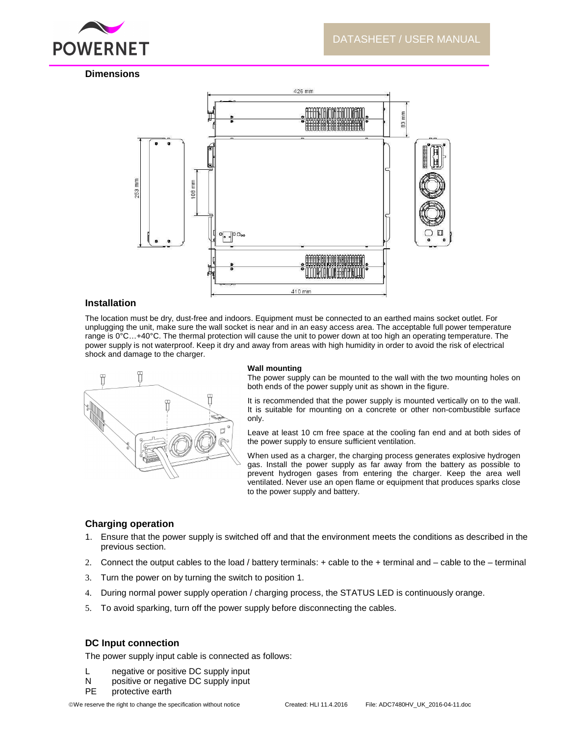

# **Dimensions**



## **Installation**

The location must be dry, dust-free and indoors. Equipment must be connected to an earthed mains socket outlet. For unplugging the unit, make sure the wall socket is near and in an easy access area. The acceptable full power temperature range is  $0^{\circ}$ C...+40°C. The thermal protection will cause the unit to power down at too high an operating temperature. The power supply is not waterproof. Keep it dry and away from areas with high humidity in order to avoid the risk of electrical shock and damage to the charger.



#### **Wall mounting**

The power supply can be mounted to the wall with the two mounting holes on both ends of the power supply unit as shown in the figure.

It is recommended that the power supply is mounted vertically on to the wall. It is suitable for mounting on a concrete or other non-combustible surface only.

Leave at least 10 cm free space at the cooling fan end and at both sides of the power supply to ensure sufficient ventilation.

When used as a charger, the charging process generates explosive hydrogen gas. Install the power supply as far away from the battery as possible to prevent hydrogen gases from entering the charger. Keep the area well ventilated. Never use an open flame or equipment that produces sparks close to the power supply and battery.

## **Charging operation**

- 1. Ensure that the power supply is switched off and that the environment meets the conditions as described in the previous section.
- 2. Connect the output cables to the load / battery terminals: + cable to the + terminal and cable to the terminal
- 3. Turn the power on by turning the switch to position 1.
- 4. During normal power supply operation / charging process, the STATUS LED is continuously orange.
- 5. To avoid sparking, turn off the power supply before disconnecting the cables.

## **DC Input connection**

The power supply input cable is connected as follows:

- L negative or positive DC supply input
- N positive or negative DC supply input
- PE protective earth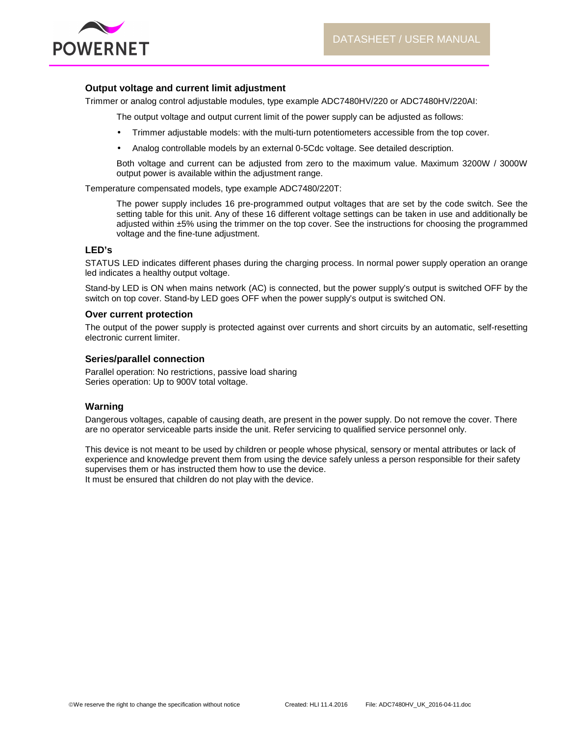



## **Output voltage and current limit adjustment**

Trimmer or analog control adjustable modules, type example ADC7480HV/220 or ADC7480HV/220AI:

The output voltage and output current limit of the power supply can be adjusted as follows:

- Trimmer adjustable models: with the multi-turn potentiometers accessible from the top cover.
- Analog controllable models by an external 0-5Cdc voltage. See detailed description.

Both voltage and current can be adjusted from zero to the maximum value. Maximum 3200W / 3000W output power is available within the adjustment range.

Temperature compensated models, type example ADC7480/220T:

The power supply includes 16 pre-programmed output voltages that are set by the code switch. See the setting table for this unit. Any of these 16 different voltage settings can be taken in use and additionally be adjusted within ±5% using the trimmer on the top cover. See the instructions for choosing the programmed voltage and the fine-tune adjustment.

## **LED's**

STATUS LED indicates different phases during the charging process. In normal power supply operation an orange led indicates a healthy output voltage.

Stand-by LED is ON when mains network (AC) is connected, but the power supply's output is switched OFF by the switch on top cover. Stand-by LED goes OFF when the power supply's output is switched ON.

## **Over current protection**

The output of the power supply is protected against over currents and short circuits by an automatic, self-resetting electronic current limiter.

## **Series/parallel connection**

Parallel operation: No restrictions, passive load sharing Series operation: Up to 900V total voltage.

## **Warning**

Dangerous voltages, capable of causing death, are present in the power supply. Do not remove the cover. There are no operator serviceable parts inside the unit. Refer servicing to qualified service personnel only.

This device is not meant to be used by children or people whose physical, sensory or mental attributes or lack of experience and knowledge prevent them from using the device safely unless a person responsible for their safety supervises them or has instructed them how to use the device. It must be ensured that children do not play with the device.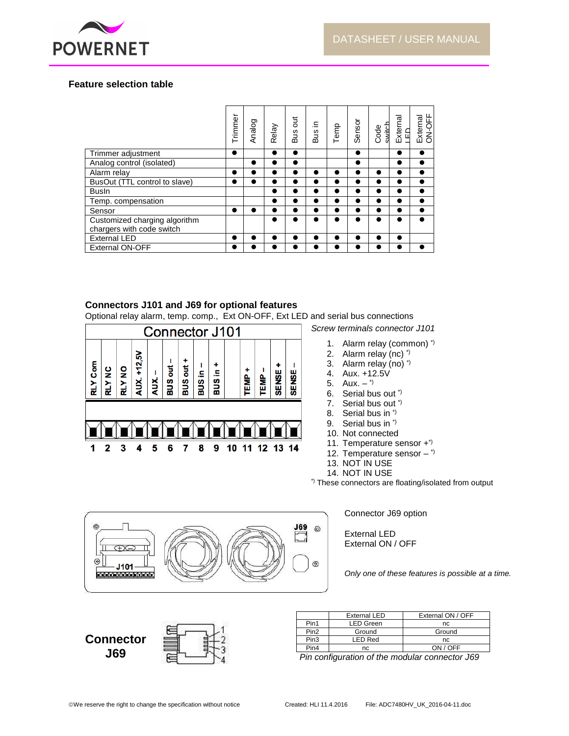

# **Feature selection table**

|                                                            | Trimmer   | Analog    | Relay     | Jut<br>Bus | ≘.<br>Bus | Temp      | Sensor    | Code<br>switch | External<br>LED | ON-OFF<br>External |
|------------------------------------------------------------|-----------|-----------|-----------|------------|-----------|-----------|-----------|----------------|-----------------|--------------------|
| Trimmer adjustment                                         | $\bullet$ |           |           | $\bullet$  |           |           |           |                |                 | $\bullet$          |
| Analog control (isolated)                                  |           | $\bullet$ | $\bullet$ | $\bullet$  |           |           |           |                | $\bullet$       | $\bullet$          |
| Alarm relav                                                | ●         |           | ٠         |            |           | $\bullet$ |           |                |                 | $\bullet$          |
| BusOut (TTL control to slave)                              |           |           | D         | ●          |           | $\bullet$ | ٠         |                |                 | $\bullet$          |
| <b>Busln</b>                                               |           |           | D         | ●          |           | $\bullet$ |           |                |                 | $\bullet$          |
| Temp. compensation                                         |           |           | ●         | ●          |           | $\bullet$ |           |                |                 | $\bullet$          |
| Sensor                                                     |           |           | n         |            |           | $\bullet$ |           |                |                 | $\bullet$          |
| Customized charging algorithm<br>chargers with code switch |           |           | $\bullet$ | ●          |           | $\bullet$ | $\bullet$ | $\bullet$      |                 | $\bullet$          |
| <b>External LED</b>                                        | ●         |           |           |            |           |           |           |                |                 |                    |
| <b>External ON-OFF</b>                                     |           |           | ٠         |            |           |           | O         |                |                 |                    |

# **Connectors J101 and J69 for optional features**

Optional relay alarm, temp. comp., Ext ON-OFF, Ext LED and serial bus connections



Screw terminals connector J101

- 1. Alarm relay (common) \*)
- 2. Alarm relay (nc) \*)
- 3. Alarm relay (no) \*)
- 4. Aux. +12.5V
- 5. Aux.  $-$ <sup>\*)</sup>
- 6. Serial bus out \*)
- 7. Serial bus out \*)
- 8. Serial bus in \*)
- 9. Serial bus in \*)
- 10. Not connected
- 11. Temperature sensor +\*)
- 12. Temperature sensor  $-$  \*)
- 13. NOT IN USE
- 14. NOT IN USE \*) These connectors are floating/isolated from output



Connector J69 option

External LED External ON / OFF

Only one of these features is possible at a time.



|                  | <b>External LED</b> | External ON / OFF |
|------------------|---------------------|-------------------|
| Pin1             | <b>LED Green</b>    | nc                |
| Pin <sub>2</sub> | Ground              | Ground            |
| Pin <sub>3</sub> | <b>LED Red</b>      | nc                |
| Pin4             | nc                  | ON / OFF          |

Pin configuration of the modular connector J69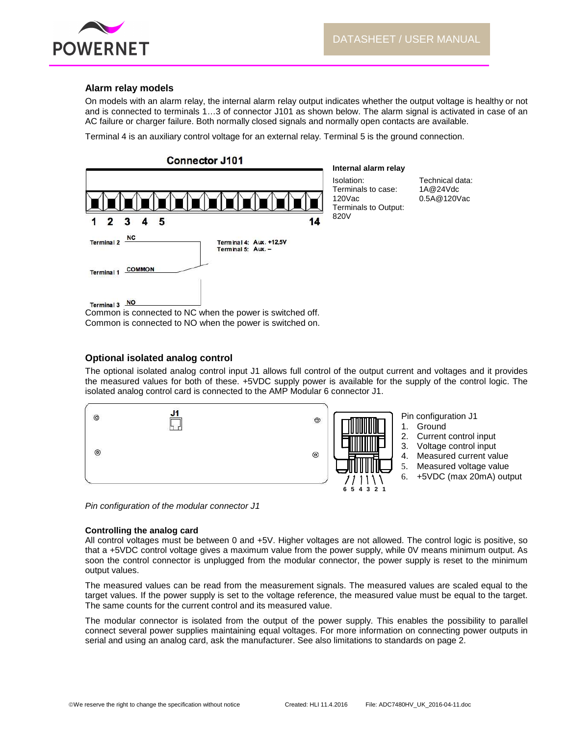

# **Alarm relay models**

On models with an alarm relay, the internal alarm relay output indicates whether the output voltage is healthy or not and is connected to terminals 1…3 of connector J101 as shown below. The alarm signal is activated in case of an AC failure or charger failure. Both normally closed signals and normally open contacts are available.

Terminal 4 is an auxiliary control voltage for an external relay. Terminal 5 is the ground connection.



#### **Internal alarm relay**

Isolation: Terminals to case: 120Vac Terminals to Output: 820V

Technical data: 1A@24Vdc 0.5A@120Vac

Common is connected to NC when the power is switched off. Common is connected to NO when the power is switched on.

# **Optional isolated analog control**

The optional isolated analog control input J1 allows full control of the output current and voltages and it provides the measured values for both of these. +5VDC supply power is available for the supply of the control logic. The isolated analog control card is connected to the AMP Modular 6 connector J1.



Pin configuration of the modular connector J1

## **Controlling the analog card**

All control voltages must be between 0 and +5V. Higher voltages are not allowed. The control logic is positive, so that a +5VDC control voltage gives a maximum value from the power supply, while 0V means minimum output. As soon the control connector is unplugged from the modular connector, the power supply is reset to the minimum output values.

The measured values can be read from the measurement signals. The measured values are scaled equal to the target values. If the power supply is set to the voltage reference, the measured value must be equal to the target. The same counts for the current control and its measured value.

The modular connector is isolated from the output of the power supply. This enables the possibility to parallel connect several power supplies maintaining equal voltages. For more information on connecting power outputs in serial and using an analog card, ask the manufacturer. See also limitations to standards on page 2.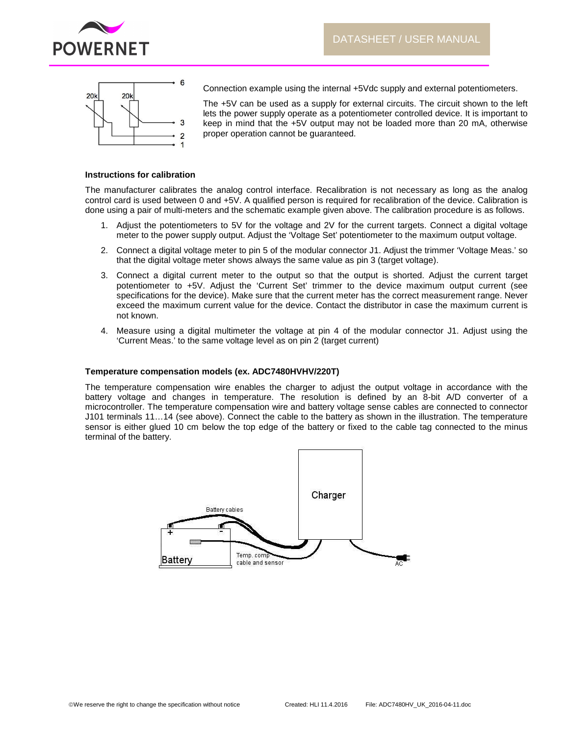



Connection example using the internal +5Vdc supply and external potentiometers.

The +5V can be used as a supply for external circuits. The circuit shown to the left lets the power supply operate as a potentiometer controlled device. It is important to keep in mind that the +5V output may not be loaded more than 20 mA, otherwise proper operation cannot be guaranteed.

### **Instructions for calibration**

The manufacturer calibrates the analog control interface. Recalibration is not necessary as long as the analog control card is used between 0 and +5V. A qualified person is required for recalibration of the device. Calibration is done using a pair of multi-meters and the schematic example given above. The calibration procedure is as follows.

- 1. Adjust the potentiometers to 5V for the voltage and 2V for the current targets. Connect a digital voltage meter to the power supply output. Adjust the 'Voltage Set' potentiometer to the maximum output voltage.
- 2. Connect a digital voltage meter to pin 5 of the modular connector J1. Adjust the trimmer 'Voltage Meas.' so that the digital voltage meter shows always the same value as pin 3 (target voltage).
- 3. Connect a digital current meter to the output so that the output is shorted. Adjust the current target potentiometer to +5V. Adjust the 'Current Set' trimmer to the device maximum output current (see specifications for the device). Make sure that the current meter has the correct measurement range. Never exceed the maximum current value for the device. Contact the distributor in case the maximum current is not known.
- 4. Measure using a digital multimeter the voltage at pin 4 of the modular connector J1. Adjust using the 'Current Meas.' to the same voltage level as on pin 2 (target current)

## **Temperature compensation models (ex. ADC7480HVHV/220T)**

The temperature compensation wire enables the charger to adjust the output voltage in accordance with the battery voltage and changes in temperature. The resolution is defined by an 8-bit A/D converter of a microcontroller. The temperature compensation wire and battery voltage sense cables are connected to connector J101 terminals 11…14 (see above). Connect the cable to the battery as shown in the illustration. The temperature sensor is either glued 10 cm below the top edge of the battery or fixed to the cable tag connected to the minus terminal of the battery.